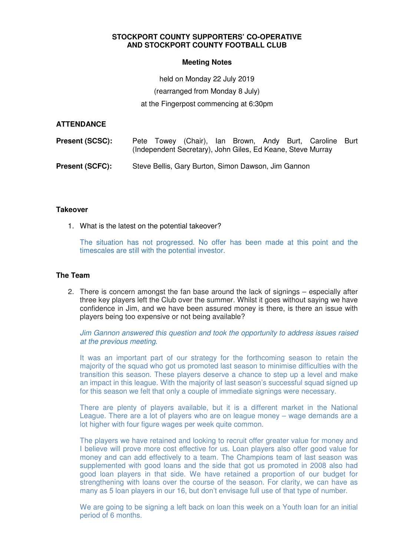## **STOCKPORT COUNTY SUPPORTERS' CO-OPERATIVE AND STOCKPORT COUNTY FOOTBALL CLUB**

## **Meeting Notes**

held on Monday 22 July 2019 (rearranged from Monday 8 July)

at the Fingerpost commencing at 6:30pm

## **ATTENDANCE**

| <b>Present (SCSC):</b> |  | (Independent Secretary), John Giles, Ed Keane, Steve Murray |  |  | Pete Towey (Chair), Ian Brown, Andy Burt, Caroline Burt |  |
|------------------------|--|-------------------------------------------------------------|--|--|---------------------------------------------------------|--|
| <b>Present (SCFC):</b> |  | Steve Bellis, Gary Burton, Simon Dawson, Jim Gannon         |  |  |                                                         |  |

#### **Takeover**

1. What is the latest on the potential takeover?

The situation has not progressed. No offer has been made at this point and the timescales are still with the potential investor.

## **The Team**

2. There is concern amongst the fan base around the lack of signings – especially after three key players left the Club over the summer. Whilst it goes without saying we have confidence in Jim, and we have been assured money is there, is there an issue with players being too expensive or not being available?

Jim Gannon answered this question and took the opportunity to address issues raised at the previous meeting.

It was an important part of our strategy for the forthcoming season to retain the majority of the squad who got us promoted last season to minimise difficulties with the transition this season. These players deserve a chance to step up a level and make an impact in this league. With the majority of last season's successful squad signed up for this season we felt that only a couple of immediate signings were necessary.

There are plenty of players available, but it is a different market in the National League. There are a lot of players who are on league money – wage demands are a lot higher with four figure wages per week quite common.

The players we have retained and looking to recruit offer greater value for money and I believe will prove more cost effective for us. Loan players also offer good value for money and can add effectively to a team. The Champions team of last season was supplemented with good loans and the side that got us promoted in 2008 also had good loan players in that side. We have retained a proportion of our budget for strengthening with loans over the course of the season. For clarity, we can have as many as 5 loan players in our 16, but don't envisage full use of that type of number.

We are going to be signing a left back on loan this week on a Youth loan for an initial period of 6 months.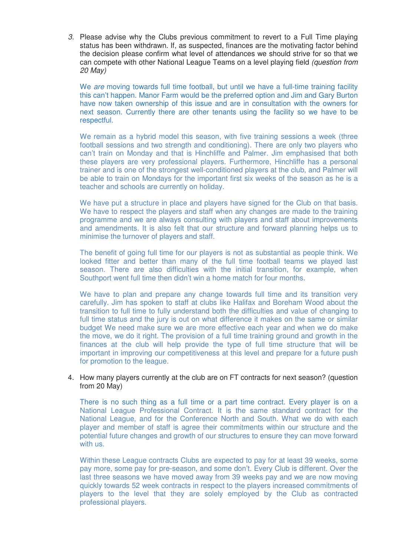3. Please advise why the Clubs previous commitment to revert to a Full Time playing status has been withdrawn. If, as suspected, finances are the motivating factor behind the decision please confirm what level of attendances we should strive for so that we can compete with other National League Teams on a level playing field (question from 20 May)

We are moving towards full time football, but until we have a full-time training facility this can't happen. Manor Farm would be the preferred option and Jim and Gary Burton have now taken ownership of this issue and are in consultation with the owners for next season. Currently there are other tenants using the facility so we have to be respectful.

We remain as a hybrid model this season, with five training sessions a week (three football sessions and two strength and conditioning). There are only two players who can't train on Monday and that is Hinchliffe and Palmer. Jim emphasised that both these players are very professional players. Furthermore, Hinchliffe has a personal trainer and is one of the strongest well-conditioned players at the club, and Palmer will be able to train on Mondays for the important first six weeks of the season as he is a teacher and schools are currently on holiday.

We have put a structure in place and players have signed for the Club on that basis. We have to respect the players and staff when any changes are made to the training programme and we are always consulting with players and staff about improvements and amendments. It is also felt that our structure and forward planning helps us to minimise the turnover of players and staff.

The benefit of going full time for our players is not as substantial as people think. We looked fitter and better than many of the full time football teams we played last season. There are also difficulties with the initial transition, for example, when Southport went full time then didn't win a home match for four months.

We have to plan and prepare any change towards full time and its transition very carefully. Jim has spoken to staff at clubs like Halifax and Boreham Wood about the transition to full time to fully understand both the difficulties and value of changing to full time status and the jury is out on what difference it makes on the same or similar budget We need make sure we are more effective each year and when we do make the move, we do it right. The provision of a full time training ground and growth in the finances at the club will help provide the type of full time structure that will be important in improving our competitiveness at this level and prepare for a future push for promotion to the league.

## 4. How many players currently at the club are on FT contracts for next season? (question from 20 May)

There is no such thing as a full time or a part time contract. Every player is on a National League Professional Contract. It is the same standard contract for the National League, and for the Conference North and South. What we do with each player and member of staff is agree their commitments within our structure and the potential future changes and growth of our structures to ensure they can move forward with us.

Within these League contracts Clubs are expected to pay for at least 39 weeks, some pay more, some pay for pre-season, and some don't. Every Club is different. Over the last three seasons we have moved away from 39 weeks pay and we are now moving quickly towards 52 week contracts in respect to the players increased commitments of players to the level that they are solely employed by the Club as contracted professional players.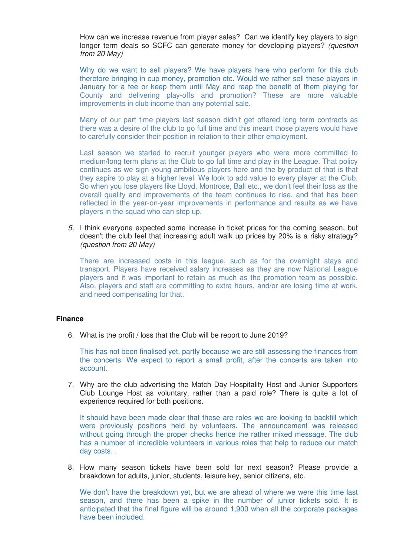How can we increase revenue from player sales? Can we identify key players to sign longer term deals so SCFC can generate money for developing players? (question from 20 May)

Why do we want to sell players? We have players here who perform for this club therefore bringing in cup money, promotion etc. Would we rather sell these players in January for a fee or keep them until May and reap the benefit of them playing for County and delivering play-offs and promotion? These are more valuable improvements in club income than any potential sale.

Many of our part time players last season didn't get offered long term contracts as there was a desire of the club to go full time and this meant those players would have to carefully consider their position in relation to their other employment.

Last season we started to recruit younger players who were more committed to medium/long term plans at the Club to go full time and play in the League. That policy continues as we sign young ambitious players here and the by-product of that is that they aspire to play at a higher level. We look to add value to every player at the Club. So when you lose players like Lloyd, Montrose, Ball etc., we don't feel their loss as the overall quality and improvements of the team continues to rise, and that has been reflected in the year-on-year improvements in performance and results as we have players in the squad who can step up.

5. I think everyone expected some increase in ticket prices for the coming season, but doesn't the club feel that increasing adult walk up prices by 20% is a risky strategy? (question from 20 May)

There are increased costs in this league, such as for the overnight stays and transport. Players have received salary increases as they are now National League players and it was important to retain as much as the promotion team as possible. Also, players and staff are committing to extra hours, and/or are losing time at work, and need compensating for that.

#### **Finance**

6. What is the profit / loss that the Club will be report to June 2019?

This has not been finalised yet, partly because we are still assessing the finances from the concerts. We expect to report a small profit, after the concerts are taken into account.

7. Why are the club advertising the Match Day Hospitality Host and Junior Supporters Club Lounge Host as voluntary, rather than a paid role? There is quite a lot of experience required for both positions.

It should have been made clear that these are roles we are looking to backfill which were previously positions held by volunteers. The announcement was released without going through the proper checks hence the rather mixed message. The club has a number of incredible volunteers in various roles that help to reduce our match day costs. .

8. How many season tickets have been sold for next season? Please provide a breakdown for adults, junior, students, leisure key, senior citizens, etc.

We don't have the breakdown yet, but we are ahead of where we were this time last season, and there has been a spike in the number of junior tickets sold. It is anticipated that the final figure will be around 1,900 when all the corporate packages have been included.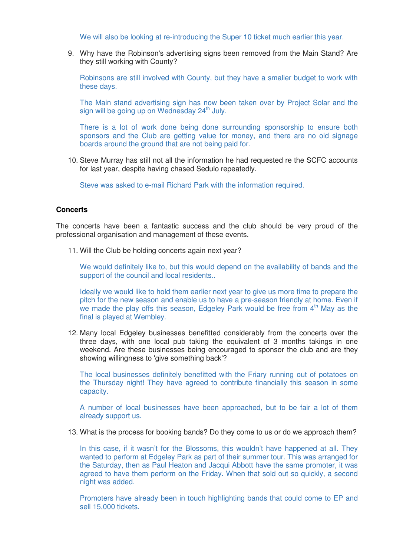We will also be looking at re-introducing the Super 10 ticket much earlier this year.

9. Why have the Robinson's advertising signs been removed from the Main Stand? Are they still working with County?

Robinsons are still involved with County, but they have a smaller budget to work with these days.

The Main stand advertising sign has now been taken over by Project Solar and the sign will be going up on Wednesday 24<sup>th</sup> July.

There is a lot of work done being done surrounding sponsorship to ensure both sponsors and the Club are getting value for money, and there are no old signage boards around the ground that are not being paid for.

10. Steve Murray has still not all the information he had requested re the SCFC accounts for last year, despite having chased Sedulo repeatedly.

Steve was asked to e-mail Richard Park with the information required.

## **Concerts**

The concerts have been a fantastic success and the club should be very proud of the professional organisation and management of these events.

11. Will the Club be holding concerts again next year?

We would definitely like to, but this would depend on the availability of bands and the support of the council and local residents..

Ideally we would like to hold them earlier next year to give us more time to prepare the pitch for the new season and enable us to have a pre-season friendly at home. Even if we made the play offs this season, Edgeley Park would be free from 4<sup>th</sup> May as the final is played at Wembley.

12. Many local Edgeley businesses benefitted considerably from the concerts over the three days, with one local pub taking the equivalent of 3 months takings in one weekend. Are these businesses being encouraged to sponsor the club and are they showing willingness to 'give something back'?

The local businesses definitely benefitted with the Friary running out of potatoes on the Thursday night! They have agreed to contribute financially this season in some capacity.

A number of local businesses have been approached, but to be fair a lot of them already support us.

13. What is the process for booking bands? Do they come to us or do we approach them?

In this case, if it wasn't for the Blossoms, this wouldn't have happened at all. They wanted to perform at Edgeley Park as part of their summer tour. This was arranged for the Saturday, then as Paul Heaton and Jacqui Abbott have the same promoter, it was agreed to have them perform on the Friday. When that sold out so quickly, a second night was added.

Promoters have already been in touch highlighting bands that could come to EP and sell 15,000 tickets.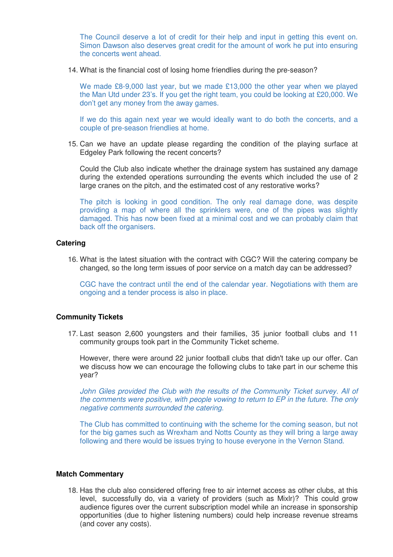The Council deserve a lot of credit for their help and input in getting this event on. Simon Dawson also deserves great credit for the amount of work he put into ensuring the concerts went ahead.

14. What is the financial cost of losing home friendlies during the pre-season?

We made £8-9,000 last year, but we made £13,000 the other year when we played the Man Utd under 23's. If you get the right team, you could be looking at £20,000. We don't get any money from the away games.

If we do this again next year we would ideally want to do both the concerts, and a couple of pre-season friendlies at home.

15. Can we have an update please regarding the condition of the playing surface at Edgeley Park following the recent concerts?

Could the Club also indicate whether the drainage system has sustained any damage during the extended operations surrounding the events which included the use of 2 large cranes on the pitch, and the estimated cost of any restorative works?

The pitch is looking in good condition. The only real damage done, was despite providing a map of where all the sprinklers were, one of the pipes was slightly damaged. This has now been fixed at a minimal cost and we can probably claim that back off the organisers.

## **Catering**

16. What is the latest situation with the contract with CGC? Will the catering company be changed, so the long term issues of poor service on a match day can be addressed?

CGC have the contract until the end of the calendar year. Negotiations with them are ongoing and a tender process is also in place.

#### **Community Tickets**

17. Last season 2,600 youngsters and their families, 35 junior football clubs and 11 community groups took part in the Community Ticket scheme.

However, there were around 22 junior football clubs that didn't take up our offer. Can we discuss how we can encourage the following clubs to take part in our scheme this year?

John Giles provided the Club with the results of the Community Ticket survey. All of the comments were positive, with people vowing to return to EP in the future. The only negative comments surrounded the catering.

The Club has committed to continuing with the scheme for the coming season, but not for the big games such as Wrexham and Notts County as they will bring a large away following and there would be issues trying to house everyone in the Vernon Stand.

#### **Match Commentary**

18. Has the club also considered offering free to air internet access as other clubs, at this level, successfully do, via a variety of providers (such as Mixlr)? This could grow audience figures over the current subscription model while an increase in sponsorship opportunities (due to higher listening numbers) could help increase revenue streams (and cover any costs).